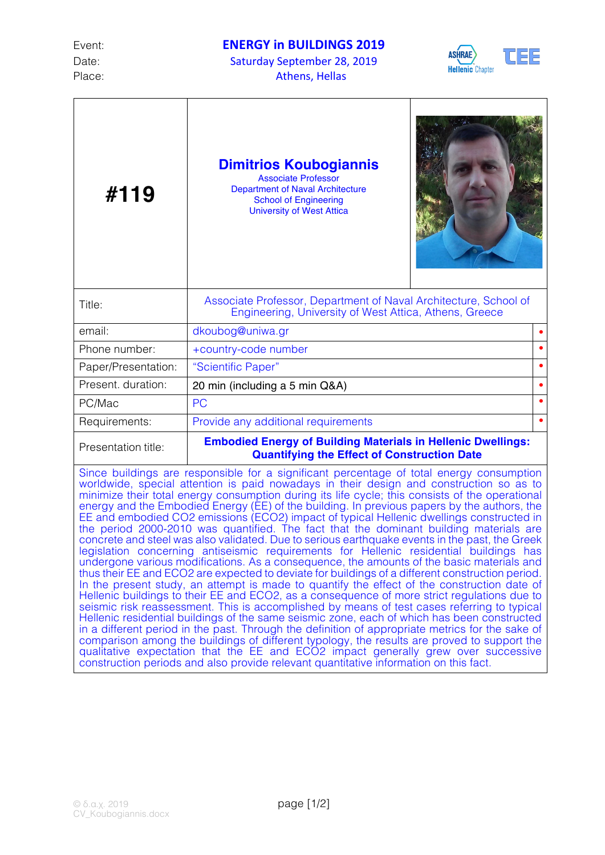

٦

| #119                                                                                                                                                                                                                                                                                                                                                                                                                                                                                                                                                                                                                                                                                                                                                                                                                                                                                                                                                                                                                                                                                                                                                                                                                                                                                                                                                                                                                                                                                                                                                                                                                                                                                                                                                | <b>Dimitrios Koubogiannis</b><br><b>Associate Professor</b><br><b>Department of Naval Architecture</b><br><b>School of Engineering</b><br><b>University of West Attica</b> |  |
|-----------------------------------------------------------------------------------------------------------------------------------------------------------------------------------------------------------------------------------------------------------------------------------------------------------------------------------------------------------------------------------------------------------------------------------------------------------------------------------------------------------------------------------------------------------------------------------------------------------------------------------------------------------------------------------------------------------------------------------------------------------------------------------------------------------------------------------------------------------------------------------------------------------------------------------------------------------------------------------------------------------------------------------------------------------------------------------------------------------------------------------------------------------------------------------------------------------------------------------------------------------------------------------------------------------------------------------------------------------------------------------------------------------------------------------------------------------------------------------------------------------------------------------------------------------------------------------------------------------------------------------------------------------------------------------------------------------------------------------------------------|----------------------------------------------------------------------------------------------------------------------------------------------------------------------------|--|
| Title:                                                                                                                                                                                                                                                                                                                                                                                                                                                                                                                                                                                                                                                                                                                                                                                                                                                                                                                                                                                                                                                                                                                                                                                                                                                                                                                                                                                                                                                                                                                                                                                                                                                                                                                                              | Associate Professor, Department of Naval Architecture, School of<br>Engineering, University of West Attica, Athens, Greece                                                 |  |
| email:                                                                                                                                                                                                                                                                                                                                                                                                                                                                                                                                                                                                                                                                                                                                                                                                                                                                                                                                                                                                                                                                                                                                                                                                                                                                                                                                                                                                                                                                                                                                                                                                                                                                                                                                              | dkoubog@uniwa.gr                                                                                                                                                           |  |
| Phone number:                                                                                                                                                                                                                                                                                                                                                                                                                                                                                                                                                                                                                                                                                                                                                                                                                                                                                                                                                                                                                                                                                                                                                                                                                                                                                                                                                                                                                                                                                                                                                                                                                                                                                                                                       | +country-code number                                                                                                                                                       |  |
| Paper/Presentation:                                                                                                                                                                                                                                                                                                                                                                                                                                                                                                                                                                                                                                                                                                                                                                                                                                                                                                                                                                                                                                                                                                                                                                                                                                                                                                                                                                                                                                                                                                                                                                                                                                                                                                                                 | "Scientific Paper"                                                                                                                                                         |  |
| Present. duration:                                                                                                                                                                                                                                                                                                                                                                                                                                                                                                                                                                                                                                                                                                                                                                                                                                                                                                                                                                                                                                                                                                                                                                                                                                                                                                                                                                                                                                                                                                                                                                                                                                                                                                                                  | 20 min (including a 5 min Q&A)                                                                                                                                             |  |
| PC/Mac                                                                                                                                                                                                                                                                                                                                                                                                                                                                                                                                                                                                                                                                                                                                                                                                                                                                                                                                                                                                                                                                                                                                                                                                                                                                                                                                                                                                                                                                                                                                                                                                                                                                                                                                              | <b>PC</b>                                                                                                                                                                  |  |
| Requirements:                                                                                                                                                                                                                                                                                                                                                                                                                                                                                                                                                                                                                                                                                                                                                                                                                                                                                                                                                                                                                                                                                                                                                                                                                                                                                                                                                                                                                                                                                                                                                                                                                                                                                                                                       | Provide any additional requirements                                                                                                                                        |  |
| Presentation title:                                                                                                                                                                                                                                                                                                                                                                                                                                                                                                                                                                                                                                                                                                                                                                                                                                                                                                                                                                                                                                                                                                                                                                                                                                                                                                                                                                                                                                                                                                                                                                                                                                                                                                                                 | <b>Embodied Energy of Building Materials in Hellenic Dwellings:</b><br><b>Quantifying the Effect of Construction Date</b>                                                  |  |
| Since buildings are responsible for a significant percentage of total energy consumption<br>worldwide, special attention is paid nowadays in their design and construction so as to<br>minimize their total energy consumption during its life cycle; this consists of the operational<br>energy and the Embodied Energy (EE) of the building. In previous papers by the authors, the<br>EE and embodied CO2 emissions (ECO2) impact of typical Hellenic dwellings constructed in the period 2000-2010 was quantified. The fact that the dominant building materials are<br>concrete and steel was also validated. Due to serious earthquake events in the past, the Greek<br>legislation concerning antiseismic requirements for Hellenic residential buildings has<br>undergone various modifications. As a consequence, the amounts of the basic materials and<br>thus their EE and ECO2 are expected to deviate for buildings of a different construction period.<br>In the present study, an attempt is made to quantify the effect of the construction date of<br>Hellenic buildings to their EE and ECO2, as a consequence of more strict regulations due to<br>seismic risk reassessment. This is accomplished by means of test cases referring to typical<br>Hellenic residential buildings of the same seismic zone, each of which has been constructed<br>in a different period in the past. Through the definition of appropriate metrics for the sake of<br>comparison among the buildings of different typology, the results are proved to support the<br>qualitative expectation that the EE and ECO2 impact generally grew over successive<br>construction periods and also provide relevant quantitative information on this fact. |                                                                                                                                                                            |  |